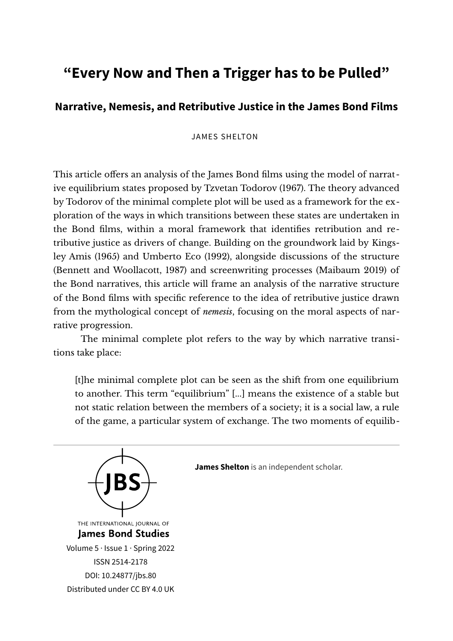## **"Every Now and Then a Trigger has to be Pulled"**

## **Narrative, Nemesis, and Retributive Justice in the James Bond Films**

## JAMES SHELTON

This article offers an analysis of the James Bond films using the model of narrative equilibrium states proposed by Tzvetan Todorov (1967). The theory advanced by Todorov of the minimal complete plot will be used as a framework for the exploration of the ways in which transitions between these states are undertaken in the Bond films, within a moral framework that identifies retribution and retributive justice as drivers of change. Building on the groundwork laid by Kingsley Amis (1965) and Umberto Eco (1992), alongside discussions of the structure (Bennett and Woollacott, 1987) and screenwriting processes (Maibaum 2019) of the Bond narratives, this article will frame an analysis of the narrative structure of the Bond flms with specifc reference to the idea of retributive justice drawn from the mythological concept of *nemesis*, focusing on the moral aspects of narrative progression.

The minimal complete plot refers to the way by which narrative transitions take place:

[t]he minimal complete plot can be seen as the shif from one equilibrium to another. This term "equilibrium" [...] means the existence of a stable but not static relation between the members of a society; it is a social law, a rule of the game, a particular system of exchange. The two moments of equilib-

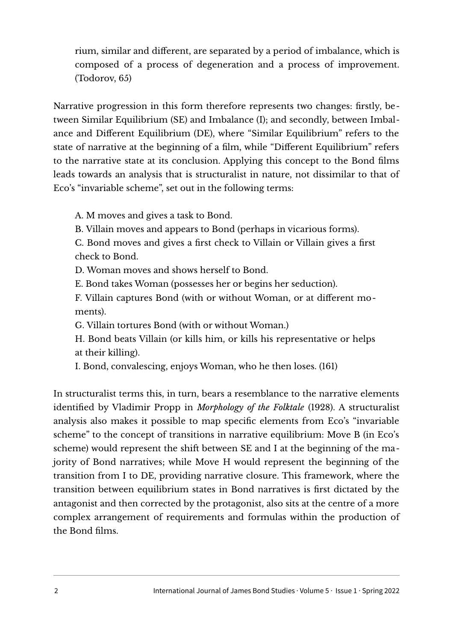rium, similar and different, are separated by a period of imbalance, which is composed of a process of degeneration and a process of improvement.  $(Todorov, 65)$ 

Narrative progression in this form therefore represents two changes: firstly, between Similar Equilibrium (SE) and Imbalance (I); and secondly, between Imbalance and Different Equilibrium (DE), where "Similar Equilibrium" refers to the state of narrative at the beginning of a film, while "Different Equilibrium" refers to the narrative state at its conclusion. Applying this concept to the Bond flms leads towards an analysis that is structuralist in nature, not dissimilar to that of Eco's "invariable scheme", set out in the following terms:

A. M moves and gives a task to Bond.

B. Villain moves and appears to Bond (perhaps in vicarious forms).

C. Bond moves and gives a frst check to Villain or Villain gives a frst check to Bond.

D. Woman moves and shows herself to Bond.

E. Bond takes Woman (possesses her or begins her seduction).

F. Villain captures Bond (with or without Woman, or at different moments).

G. Villain tortures Bond (with or without Woman.)

H. Bond beats Villain (or kills him, or kills his representative or helps at their killing).

I. Bond, convalescing, enjoys Woman, who he then loses. (161)

In structuralist terms this, in turn, bears a resemblance to the narrative elements identifed by Vladimir Propp in *Morphology of the Folktale* (1928). A structuralist analysis also makes it possible to map specifc elements from Eco's "invariable scheme" to the concept of transitions in narrative equilibrium: Move B (in Eco's scheme) would represent the shift between SE and I at the beginning of the majority of Bond narratives; while Move H would represent the beginning of the transition from I to DE, providing narrative closure. This framework, where the transition between equilibrium states in Bond narratives is frst dictated by the antagonist and then corrected by the protagonist, also sits at the centre of a more complex arrangement of requirements and formulas within the production of the Bond flms.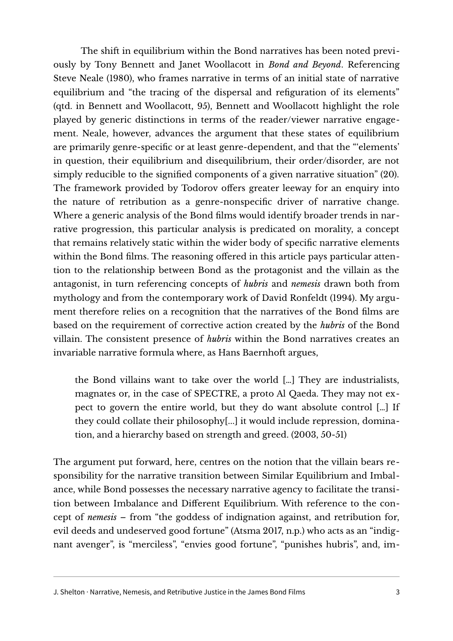The shift in equilibrium within the Bond narratives has been noted previously by Tony Bennett and Janet Woollacott in *Bond and Beyond*. Referencing Steve Neale (1980), who frames narrative in terms of an initial state of narrative equilibrium and "the tracing of the dispersal and refguration of its elements" (qtd. in Bennett and Woollacott, 95), Bennett and Woollacott highlight the role played by generic distinctions in terms of the reader/viewer narrative engagement. Neale, however, advances the argument that these states of equilibrium are primarily genre-specific or at least genre-dependent, and that the "elements' in question, their equilibrium and disequilibrium, their order/disorder, are not simply reducible to the signifed components of a given narrative situation" (20). The framework provided by Todorov offers greater leeway for an enquiry into the nature of retribution as a genre-nonspecifc driver of narrative change. Where a generic analysis of the Bond flms would identify broader trends in narrative progression, this particular analysis is predicated on morality, a concept that remains relatively static within the wider body of specifc narrative elements within the Bond films. The reasoning offered in this article pays particular attention to the relationship between Bond as the protagonist and the villain as the antagonist, in turn referencing concepts of *hubris* and *nemesis* drawn both from mythology and from the contemporary work of David Ronfeldt (1994). My argument therefore relies on a recognition that the narratives of the Bond flms are based on the requirement of corrective action created by the *hubris* of the Bond villain. The consistent presence of *hubris* within the Bond narratives creates an invariable narrative formula where, as Hans Baernhoft argues,

the Bond villains want to take over the world  $\lceil \cdot \cdot \rceil$ . They are industrialists, magnates or, in the case of SPECTRE, a proto Al Qaeda. They may not expect to govern the entire world, but they do want absolute control [...] If they could collate their philosophy[...] it would include repression, domination, and a hierarchy based on strength and greed.  $(2003, 50-51)$ 

The argument put forward, here, centres on the notion that the villain bears responsibility for the narrative transition between Similar Equilibrium and Imbalance, while Bond possesses the necessary narrative agency to facilitate the transition between Imbalance and Diferent Equilibrium. With reference to the concept of *nemesis* – from "the goddess of indignation against, and retribution for, evil deeds and undeserved good fortune" (Atsma 2017, n.p.) who acts as an "indignant avenger", is "merciless", "envies good fortune", "punishes hubris", and, im-

J. Shelton · Narrative, Nemesis, and Retributive Justice in the James Bond Films 3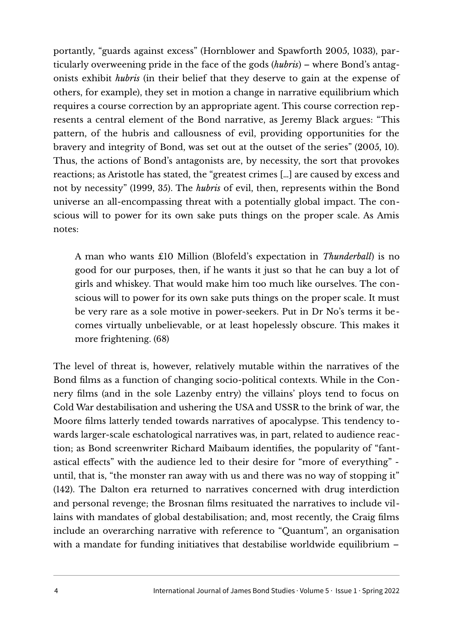portantly, "guards against excess" (Hornblower and Spawforth 2005, 1033), particularly overweening pride in the face of the gods (*hubris*) – where Bond's antagonists exhibit *hubris* (in their belief that they deserve to gain at the expense of others, for example), they set in motion a change in narrative equilibrium which requires a course correction by an appropriate agent. This course correction represents a central element of the Bond narrative, as Jeremy Black argues: "This pattern, of the hubris and callousness of evil, providing opportunities for the bravery and integrity of Bond, was set out at the outset of the series"  $(2005, 10)$ . Thus, the actions of Bond's antagonists are, by necessity, the sort that provokes reactions; as Aristotle has stated, the "greatest crimes [...] are caused by excess and not by necessity" (1999, 35). The *hubris* of evil, then, represents within the Bond universe an all-encompassing threat with a potentially global impact. The conscious will to power for its own sake puts things on the proper scale. As Amis notes:

A man who wants £10 Million (Blofeld's expectation in *Thunderball*) is no good for our purposes, then, if he wants it just so that he can buy a lot of girls and whiskey. That would make him too much like ourselves. The conscious will to power for its own sake puts things on the proper scale. It must be very rare as a sole motive in power-seekers. Put in Dr No's terms it becomes virtually unbelievable, or at least hopelessly obscure. This makes it more frightening. (68)

The level of threat is, however, relatively mutable within the narratives of the Bond flms as a function of changing socio-political contexts. While in the Connery flms (and in the sole Lazenby entry) the villains' ploys tend to focus on Cold War destabilisation and ushering the USA and USSR to the brink of war, the Moore flms latterly tended towards narratives of apocalypse. This tendency towards larger-scale eschatological narratives was, in part, related to audience reaction; as Bond screenwriter Richard Maibaum identifies, the popularity of "fantastical efects" with the audience led to their desire for "more of everything" until, that is, "the monster ran away with us and there was no way of stopping it" (142). The Dalton era returned to narratives concerned with drug interdiction and personal revenge; the Brosnan flms resituated the narratives to include villains with mandates of global destabilisation; and, most recently, the Craig films include an overarching narrative with reference to "Quantum", an organisation with a mandate for funding initiatives that destabilise worldwide equilibrium -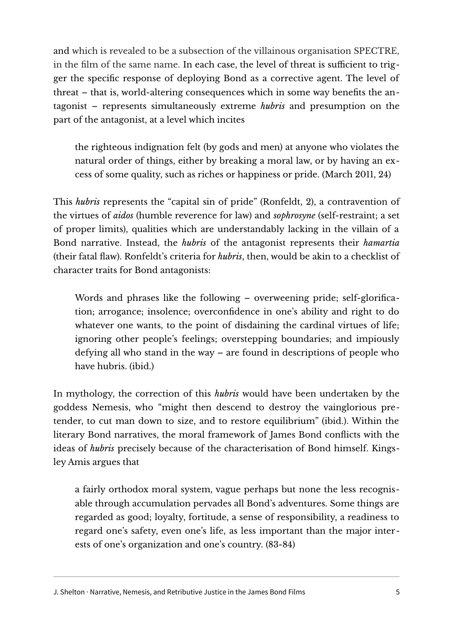and which is revealed to be a subsection of the villainous organisation SPECTRE, in the film of the same name. In each case, the level of threat is sufficient to trigger the specifc response of deploying Bond as a corrective agent. The level of  $t$  threat – that is, world-altering consequences which in some way benefits the antagonist – represents simultaneously extreme *hubris* and presumption on the part of the antagonist, at a level which incites

the righteous indignation felt (by gods and men) at anyone who violates the natural order of things, either by breaking a moral law, or by having an excess of some quality, such as riches or happiness or pride. (March 2011, 24)

This *hubris* represents the "capital sin of pride" (Ronfeldt, 2), a contravention of the virtues of *aidos* (humble reverence for law) and *sophrosyne* (self-restraint; a set of proper limits), qualities which are understandably lacking in the villain of a Bond narrative. Instead, the *hubris* of the antagonist represents their *hamartia* (their fatal flaw). Ronfeldt's criteria for *hubris*, then, would be akin to a checklist of character traits for Bond antagonists:

Words and phrases like the following – overweening pride; self-glorifcation; arrogance; insolence; overconfdence in one's ability and right to do whatever one wants, to the point of disdaining the cardinal virtues of life; ignoring other people's feelings; overstepping boundaries; and impiously defying all who stand in the way – are found in descriptions of people who have hubris. (ibid.)

In mythology, the correction of this *hubris* would have been undertaken by the goddess Nemesis, who "might then descend to destroy the vainglorious pretender, to cut man down to size, and to restore equilibrium" (ibid.). Within the literary Bond narratives, the moral framework of James Bond conflicts with the ideas of *hubris* precisely because of the characterisation of Bond himself. Kingsley Amis argues that

a fairly orthodox moral system, vague perhaps but none the less recognisable through accumulation pervades all Bond's adventures. Some things are regarded as good; loyalty, fortitude, a sense of responsibility, a readiness to regard one's safety, even one's life, as less important than the major interests of one's organization and one's country. (83-84)

J. Shelton · Narrative, Nemesis, and Retributive Justice in the James Bond Films 5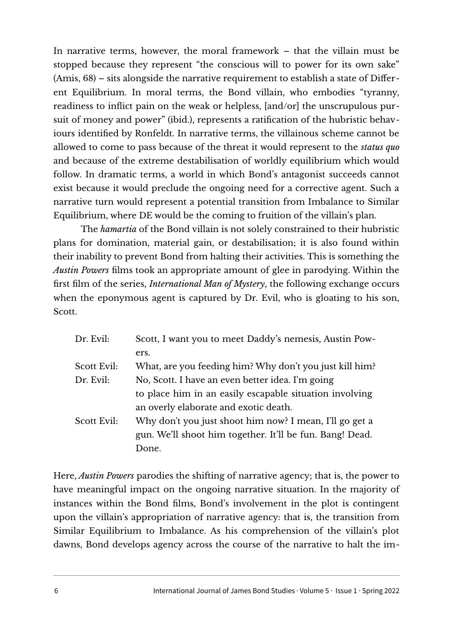In narrative terms, however, the moral framework  $-$  that the villain must be stopped because they represent "the conscious will to power for its own sake"  $(Amis, 68)$  – sits alongside the narrative requirement to establish a state of Different Equilibrium. In moral terms, the Bond villain, who embodies "tyranny, readiness to inflict pain on the weak or helpless, [and/or] the unscrupulous pursuit of money and power" (ibid.), represents a ratification of the hubristic behaviours identified by Ronfeldt. In narrative terms, the villainous scheme cannot be allowed to come to pass because of the threat it would represent to the *status quo* and because of the extreme destabilisation of worldly equilibrium which would follow. In dramatic terms, a world in which Bond's antagonist succeeds cannot exist because it would preclude the ongoing need for a corrective agent. Such a narrative turn would represent a potential transition from Imbalance to Similar Equilibrium, where DE would be the coming to fruition of the villain's plan.

The *hamartia* of the Bond villain is not solely constrained to their hubristic plans for domination, material gain, or destabilisation; it is also found within their inability to prevent Bond from halting their activities. This is something the *Austin Powers* flms took an appropriate amount of glee in parodying. Within the first film of the series, *International Man of Mystery*, the following exchange occurs when the eponymous agent is captured by Dr. Evil, who is gloating to his son, Scott.

| Dr. Evil:   | Scott, I want you to meet Daddy's nemesis, Austin Pow-   |
|-------------|----------------------------------------------------------|
|             | ers.                                                     |
| Scott Evil: | What, are you feeding him? Why don't you just kill him?  |
| Dr. Evil:   | No, Scott. I have an even better idea. I'm going         |
|             | to place him in an easily escapable situation involving  |
|             | an overly elaborate and exotic death.                    |
| Scott Evil: | Why don't you just shoot him now? I mean, I'll go get a  |
|             | gun. We'll shoot him together. It'll be fun. Bang! Dead. |
|             | Done.                                                    |
|             |                                                          |

Here, *Austin Powers* parodies the shifting of narrative agency; that is, the power to have meaningful impact on the ongoing narrative situation. In the majority of instances within the Bond films, Bond's involvement in the plot is contingent upon the villain's appropriation of narrative agency: that is, the transition from Similar Equilibrium to Imbalance. As his comprehension of the villain's plot dawns, Bond develops agency across the course of the narrative to halt the im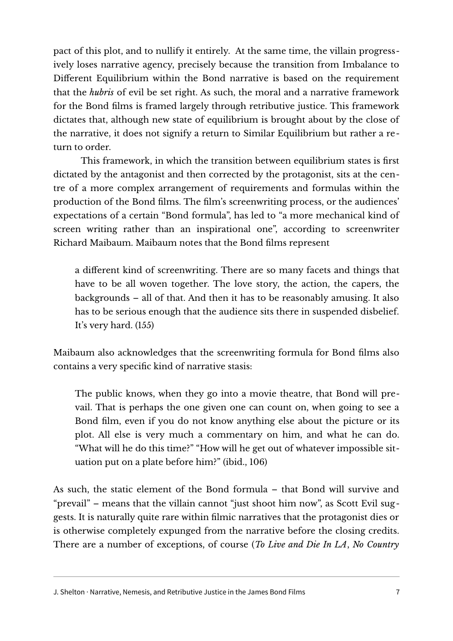pact of this plot, and to nullify it entirely. At the same time, the villain progressively loses narrative agency, precisely because the transition from Imbalance to Diferent Equilibrium within the Bond narrative is based on the requirement that the *hubris* of evil be set right. As such, the moral and a narrative framework for the Bond flms is framed largely through retributive justice. This framework dictates that, although new state of equilibrium is brought about by the close of the narrative, it does not signify a return to Similar Equilibrium but rather a return to order.

This framework, in which the transition between equilibrium states is first dictated by the antagonist and then corrected by the protagonist, sits at the centre of a more complex arrangement of requirements and formulas within the production of the Bond films. The film's screenwriting process, or the audiences' expectations of a certain "Bond formula", has led to "a more mechanical kind of screen writing rather than an inspirational one", according to screenwriter Richard Maibaum. Maibaum notes that the Bond flms represent

a diferent kind of screenwriting. There are so many facets and things that have to be all woven together. The love story, the action, the capers, the backgrounds – all of that. And then it has to be reasonably amusing. It also has to be serious enough that the audience sits there in suspended disbelief. It's very hard. (155)

Maibaum also acknowledges that the screenwriting formula for Bond flms also contains a very specifc kind of narrative stasis:

The public knows, when they go into a movie theatre, that Bond will prevail. That is perhaps the one given one can count on, when going to see a Bond film, even if you do not know anything else about the picture or its plot. All else is very much a commentary on him, and what he can do. "What will he do this time?" "How will he get out of whatever impossible situation put on a plate before him?" (ibid., 106)

As such, the static element of the Bond formula – that Bond will survive and "prevail" – means that the villain cannot "just shoot him now", as Scott Evil suggests. It is naturally quite rare within flmic narratives that the protagonist dies or is otherwise completely expunged from the narrative before the closing credits. There are a number of exceptions, of course (*To Live and Die In LA*, *No Country* 

J. Shelton · Narrative, Nemesis, and Retributive Justice in the James Bond Films 7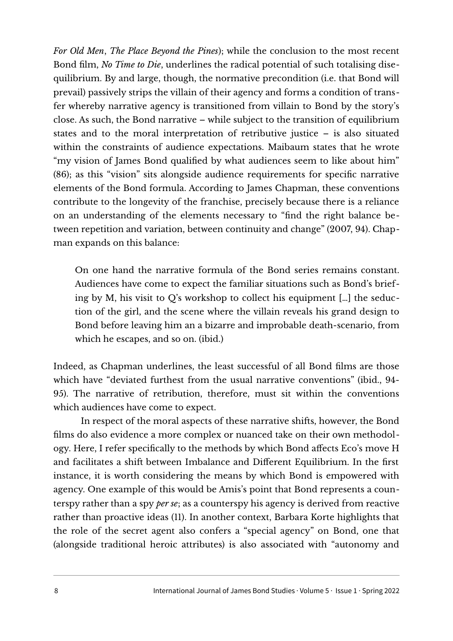*For Old Men, The Place Beyond the Pines*); while the conclusion to the most recent Bond film, *No Time to Die*, underlines the radical potential of such totalising disequilibrium. By and large, though, the normative precondition (i.e. that Bond will prevail) passively strips the villain of their agency and forms a condition of transfer whereby narrative agency is transitioned from villain to Bond by the story's close. As such, the Bond narrative – while subject to the transition of equilibrium states and to the moral interpretation of retributive justice – is also situated within the constraints of audience expectations. Maibaum states that he wrote "my vision of James Bond qualifed by what audiences seem to like about him" (86); as this "vision" sits alongside audience requirements for specifc narrative elements of the Bond formula. According to James Chapman, these conventions contribute to the longevity of the franchise, precisely because there is a reliance on an understanding of the elements necessary to "fnd the right balance between repetition and variation, between continuity and change" (2007, 94). Chapman expands on this balance:

On one hand the narrative formula of the Bond series remains constant. Audiences have come to expect the familiar situations such as Bond's briefing by M, his visit to  $Q$ 's workshop to collect his equipment [...] the seduction of the girl, and the scene where the villain reveals his grand design to Bond before leaving him an a bizarre and improbable death-scenario, from which he escapes, and so on. (ibid.)

Indeed, as Chapman underlines, the least successful of all Bond films are those which have "deviated furthest from the usual narrative conventions" (ibid., 94-95). The narrative of retribution, therefore, must sit within the conventions which audiences have come to expect.

In respect of the moral aspects of these narrative shifts, however, the Bond flms do also evidence a more complex or nuanced take on their own methodology. Here, I refer specifically to the methods by which Bond affects Eco's move H and facilitates a shift between Imbalance and Different Equilibrium. In the first instance, it is worth considering the means by which Bond is empowered with agency. One example of this would be Amis's point that Bond represents a counterspy rather than a spy *per se*; as a counterspy his agency is derived from reactive rather than proactive ideas (11). In another context, Barbara Korte highlights that the role of the secret agent also confers a "special agency" on Bond, one that (alongside traditional heroic attributes) is also associated with "autonomy and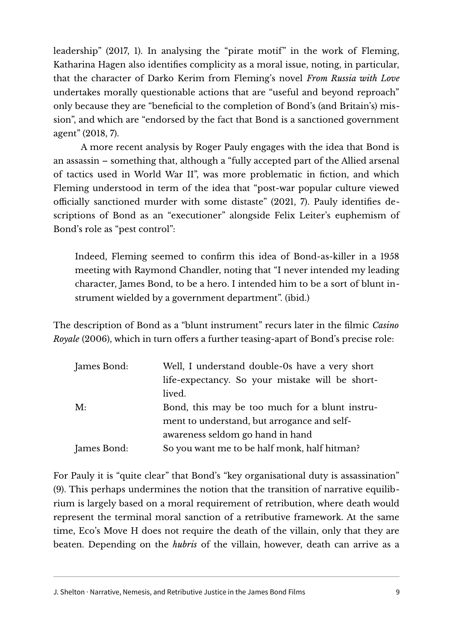leadership" (2017, 1). In analysing the "pirate motif" in the work of Fleming, Katharina Hagen also identifies complicity as a moral issue, noting, in particular, that the character of Darko Kerim from Fleming's novel *From Russia with Love* undertakes morally questionable actions that are "useful and beyond reproach" only because they are "benefcial to the completion of Bond's (and Britain's) mission", and which are "endorsed by the fact that Bond is a sanctioned government agent" (2018, 7).

A more recent analysis by Roger Pauly engages with the idea that Bond is an assassin – something that, although a "fully accepted part of the Allied arsenal of tactics used in World War II", was more problematic in fiction, and which Fleming understood in term of the idea that "post-war popular culture viewed officially sanctioned murder with some distaste" (2021, 7). Pauly identifies descriptions of Bond as an "executioner" alongside Felix Leiter's euphemism of Bond's role as "pest control":

Indeed, Fleming seemed to confirm this idea of Bond-as-killer in a 1958 meeting with Raymond Chandler, noting that "I never intended my leading character, James Bond, to be a hero. I intended him to be a sort of blunt instrument wielded by a government department". (ibid.)

The description of Bond as a "blunt instrument" recurs later in the flmic *Casino Royale* (2006), which in turn offers a further teasing-apart of Bond's precise role:

| James Bond: | Well, I understand double-0s have a very short  |
|-------------|-------------------------------------------------|
|             | life-expectancy. So your mistake will be short- |
|             | lived.                                          |
| M:          | Bond, this may be too much for a blunt instru-  |
|             | ment to understand, but arrogance and self-     |
|             | awareness seldom go hand in hand                |
| James Bond: | So you want me to be half monk, half hitman?    |

For Pauly it is "quite clear" that Bond's "key organisational duty is assassination" (9). This perhaps undermines the notion that the transition of narrative equilibrium is largely based on a moral requirement of retribution, where death would represent the terminal moral sanction of a retributive framework. At the same time, Eco's Move H does not require the death of the villain, only that they are beaten. Depending on the *hubris* of the villain, however, death can arrive as a

J. Shelton · Narrative, Nemesis, and Retributive Justice in the James Bond Films 9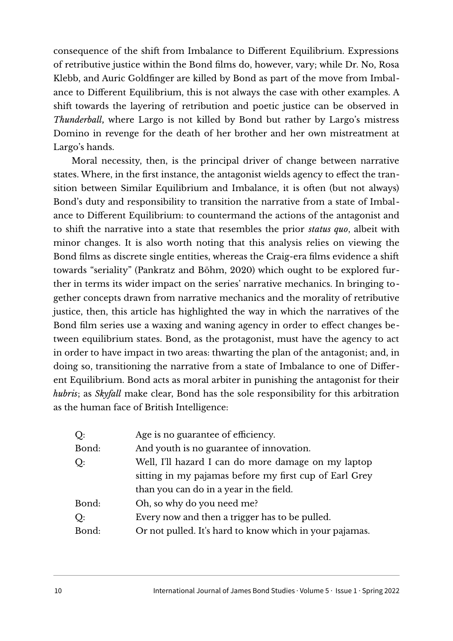consequence of the shift from Imbalance to Different Equilibrium. Expressions of retributive justice within the Bond films do, however, vary; while Dr. No, Rosa Klebb, and Auric Goldfinger are killed by Bond as part of the move from Imbalance to Different Equilibrium, this is not always the case with other examples. A shift towards the layering of retribution and poetic justice can be observed in *Thunderball***,** where Largo is not killed by Bond but rather by Largo's mistress Domino in revenge for the death of her brother and her own mistreatment at Largo's hands.

Moral necessity, then, is the principal driver of change between narrative states. Where, in the first instance, the antagonist wields agency to effect the transition between Similar Equilibrium and Imbalance, it is often (but not always) Bond's duty and responsibility to transition the narrative from a state of Imbalance to Diferent Equilibrium: to countermand the actions of the antagonist and to shift the narrative into a state that resembles the prior *status quo*, albeit with minor changes. It is also worth noting that this analysis relies on viewing the Bond films as discrete single entities, whereas the Craig-era films evidence a shift towards "seriality" (Pankratz and Böhm, 2020) which ought to be explored further in terms its wider impact on the series' narrative mechanics. In bringing together concepts drawn from narrative mechanics and the morality of retributive justice, then, this article has highlighted the way in which the narratives of the Bond flm series use a waxing and waning agency in order to efect changes between equilibrium states. Bond, as the protagonist, must have the agency to act in order to have impact in two areas: thwarting the plan of the antagonist; and, in doing so, transitioning the narrative from a state of Imbalance to one of Different Equilibrium. Bond acts as moral arbiter in punishing the antagonist for their *hubris*; as *Skyfall* make clear, Bond has the sole responsibility for this arbitration as the human face of British Intelligence:

| Q:    | Age is no guarantee of efficiency.                      |
|-------|---------------------------------------------------------|
| Bond: | And youth is no guarantee of innovation.                |
| Q:    | Well, I'll hazard I can do more damage on my laptop     |
|       | sitting in my pajamas before my first cup of Earl Grey  |
|       | than you can do in a year in the field.                 |
| Bond: | Oh, so why do you need me?                              |
| Q:    | Every now and then a trigger has to be pulled.          |
| Bond: | Or not pulled. It's hard to know which in your pajamas. |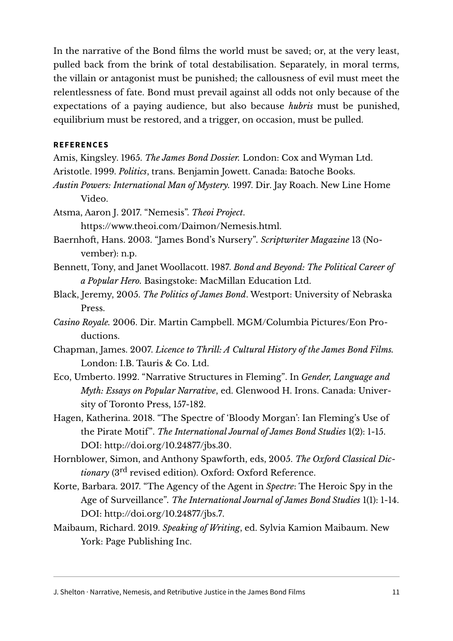In the narrative of the Bond films the world must be saved; or, at the very least, pulled back from the brink of total destabilisation. Separately, in moral terms, the villain or antagonist must be punished; the callousness of evil must meet the relentlessness of fate. Bond must prevail against all odds not only because of the expectations of a paying audience, but also because *hubris* must be punished, equilibrium must be restored, and a trigger, on occasion, must be pulled.

## **REFERENCES**

Amis, Kingsley. 1965. *The James Bond Dossier*. London: Cox and Wyman Ltd. Aristotle. 1999. *Politics*, trans. Benjamin Jowett. Canada: Batoche Books.

*Austin Powers: International Man of Mystery.* 1997. Dir. Jay Roach. New Line Home Video.

Atsma, Aaron J. 2017. "Nemesis". Theoi Project.

[https://www.theoi.com/Daimon/Nemesis.html.](https://www.theoi.com/Daimon/Nemesis.html)

- Baernhoft, Hans. 2003. "James Bond's Nursery". Scriptwriter Magazine 13 (November): n.p.
- Bennett, Tony, and Janet Woollacott. 1987. *Bond and Beyond: The Political Career of a Popular Hero.* Basingstoke: MacMillan Education Ltd.
- Black, Jeremy, 2005. *The Politics of James Bond*. Westport: University of Nebraska Press.
- *Casino Royale.* 2006. Dir. Martin Campbell. MGM/Columbia Pictures/Eon Productions.
- Chapman, James. 2007. *Licence to Thrill: A Cultural History of the James Bond Films.* London: I.B. Tauris & Co. Ltd.
- Eco, Umberto. 1992. "Narrative Structures in Fleming". In *Gender, Language and Myth: Essays on Popular Narrative*, ed. Glenwood H. Irons. Canada: University of Toronto Press, 157-182.
- Hagen, Katherina. 2018. "The Spectre of 'Bloody Morgan': Ian Fleming's Use of the Pirate Motif". *The International Journal of James Bond Studies* 1(2): 1-15. DOI: [http://doi.org/10.24877/jbs.30.](http://doi.org/10.24877/jbs.30)
- Hornblower, Simon, and Anthony Spawforth, eds, 2005. *The Oxford Classical Dictionary* (3rd revised edition). Oxford: Oxford Reference.
- Korte, Barbara. 2017. "The Agency of the Agent in *Spectre*: The Heroic Spy in the Age of Surveillance"*. The International Journal of James Bond Studies* 1(1): 1-14. DOI: [http://doi.org/10.24877/jbs.7.](http://doi.org/10.24877/jbs.7)
- Maibaum, Richard. 2019. *Speaking of Writing*, ed. Sylvia Kamion Maibaum. New York: Page Publishing Inc.

J. Shelton · Narrative, Nemesis, and Retributive Justice in the James Bond Films 11